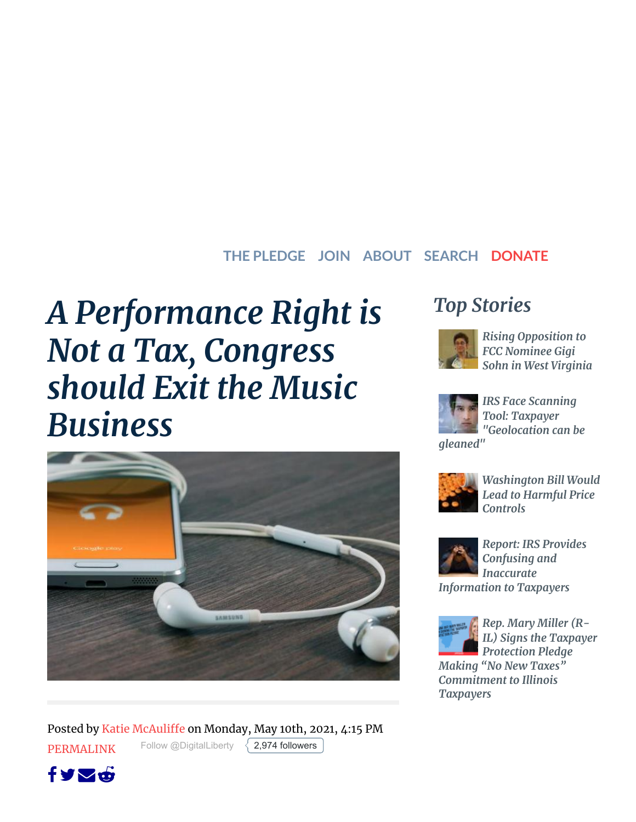#### **THE PLEDGE JOIN ABOUT SEARCH [DONATE](https://www.atr.org/donate)**

# *A Performance Right is Not a Tax, Congress should Exit the Music Business*



Posted by Katie [McAuliffe](https://www.atr.org/authors/katie-mcauliffe) on Monday, May 10th, 2021, 4:15 PM [PERMALINK](https://www.atr.org/performance-right-not-tax-congress-should-exit-music-business) [Follow @DigitalLiberty](https://twitter.com/intent/follow?original_referer=https%3A%2F%2Fwww.atr.org%2F&ref_src=twsrc%5Etfw%7Ctwcamp%5Ebuttonembed%7Ctwterm%5Efollow%7Ctwgr%5EDigitalLiberty®ion=follow_link&screen_name=DigitalLiberty)  $\{$  [2,974 followers](https://twitter.com/intent/user?original_referer=https%3A%2F%2Fwww.atr.org%2F&ref_src=twsrc%5Etfw%7Ctwcamp%5Ebuttonembed%7Ctwterm%5Efollow%7Ctwgr%5EDigitalLiberty®ion=count_link&screen_name=DigitalLiberty)





*Rising [Opposition](https://www.atr.org/rising-opposition-fcc-nominee-gigi-sohn-west-virginia-0) to FCC Nominee Gigi Sohn in West Virginia*



*IRS Face Scanning Tool: Taxpayer ["Geolocation](https://www.atr.org/irs-face-scanning-tool-taxpayer-geolocation-can-be-gleaned) can be*

*gleaned"*



*[Washington](https://www.atr.org/washington-bill-would-lead-harmful-price-controls) Bill Would Lead to Harmful Price Controls*



*Report: IRS Provides Confusing and Inaccurate [Information](https://www.atr.org/report-irs-provides-confusing-and-inaccurate-information-taxpayers) to Taxpayers*



*Rep. Mary Miller (R-IL) Signs the Taxpayer Protection Pledge*

*Making "No New Taxes" [Commitment](https://www.atr.org/rep-mary-miller-r-il-signs-taxpayer-protection-pledge-making-no-new-taxes-commitment-illinois) to Illinois Taxpayers*

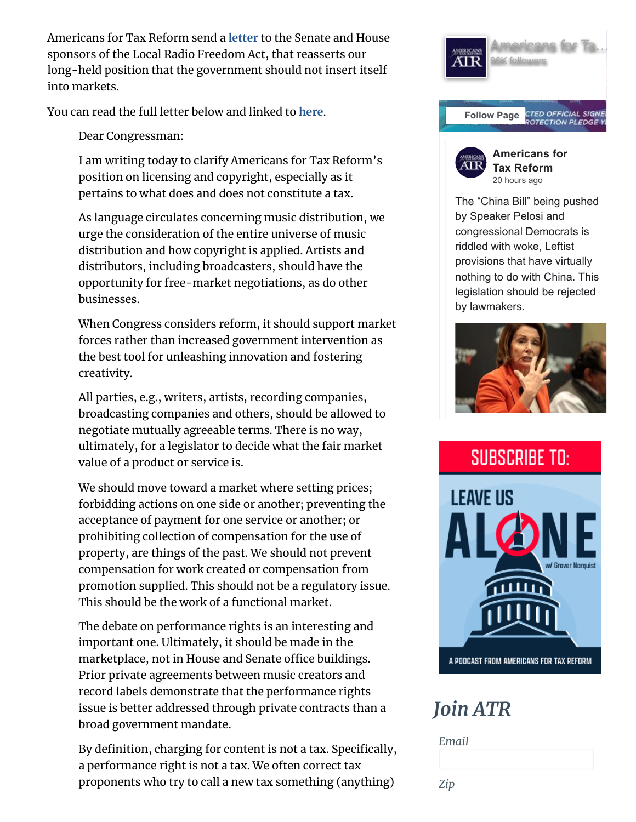Americans for Tax Reform send a **[letter](https://www.atr.org/sites/default/files/assets/Performance%20Rights%20052021.pdf)** to the Senate and House sponsors of the Local Radio Freedom Act, that reasserts our long-held position that the government should not insert itself into markets.

You can read the full letter below and linked to **[here](https://www.atr.org/sites/default/files/assets/Performance%20Rights%20052021.pdf)**.

Dear Congressman:

I am writing today to clarify Americans for Tax Reform's position on licensing and copyright, especially as it pertains to what does and does not constitute a tax.

As language circulates concerning music distribution, we urge the consideration of the entire universe of music distribution and how copyright is applied. Artists and distributors, including broadcasters, should have the opportunity for free-market negotiations, as do other businesses.

When Congress considers reform, it should support market forces rather than increased government intervention as the best tool for unleashing innovation and fostering creativity.

All parties, e.g., writers, artists, recording companies, broadcasting companies and others, should be allowed to negotiate mutually agreeable terms. There is no way, ultimately, for a legislator to decide what the fair market value of a product or service is.

We should move toward a market where setting prices; forbidding actions on one side or another; preventing the acceptance of payment for one service or another; or prohibiting collection of compensation for the use of property, are things of the past. We should not prevent compensation for work created or compensation from promotion supplied. This should not be a regulatory issue. This should be the work of a functional market.

The debate on performance rights is an interesting and important one. Ultimately, it should be made in the marketplace, not in House and Senate office buildings. Prior private agreements between music creators and record labels demonstrate that the performance rights issue is better addressed through private contracts than a broad government mandate.

By definition, charging for content is not a tax. Specifically, a performance right is not a tax. We often correct tax proponents who try to call a new tax something (anything)





by lawmakers.



# *Join ATR*